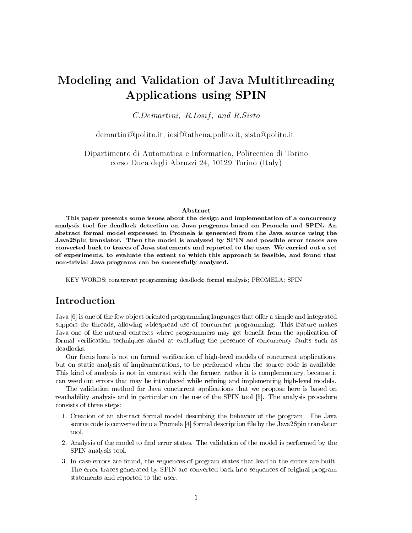# Modeling and Validation of Java Multithreading Applications using SPIN

 $C. Demartini, R. Iosif, and R. Sisto$ 

demartini@polito.it, iosif@athena.polito.it, sisto@polito.it

Dipartimento di Automatica e Informatica, Politecnico di Torino corso Duca degli Abruzzi 24, 10129 Torino (Italy)

#### Abstract

This paper presents some issues about the design and implementation of a concurrency analysis tool for deadlock detection on Java programs based on Promela and SPIN. An abstract formal model expressed in Promela is generated from the Java source using the Java2Spin translator. Then the model is analyzed by SPIN and possible error traces are converted back to traces of Java statements and reported to the user. We carried out a set of experiments, to evaluate the extent to which this approach is feasible, and found that non-trivial Java programs can be successfully analyzed.

KEY WORDS: concurrent programming; deadlock; formal analysis; PROMELA; SPIN

## Introduction

Java [6] is one of the few object oriented programming languages that offer a simple and integrated support for threads, allowing widespread use of concurrent programming. This feature makes Java one of the natural contexts where programmers may get benet from the application of formal verification techniques aimed at excluding the presence of concurrency faults such as deadlocks.

Our focus here is not on formal verication of high-level models of concurrent applications, but on static analysis of implementations, to be performed when the source code is available. This kind of analysis is not in contrast with the former, rather it is complementary, because it can weed out errors that may be introduced while refining and implementing high-level models.

The validation method for Java concurrent applications that we propose here is based on reachability analysis and in particular on the use of the SPIN tool [5]. The analysis procedure consists of the steps:

- 1. Creation of an abstract formal model describing the behavior of the program. The Java source code is converted into a Promela [4] formal description file by the Java2Spin translator tool.
- 2. Analysis of the model to find error states. The validation of the model is performed by the SPIN analysis tool.
- 3. In case errors are found, the sequences of program states that lead to the errors are built. The error traces generated by SPIN are converted back into sequences of original program statements and reported to the user.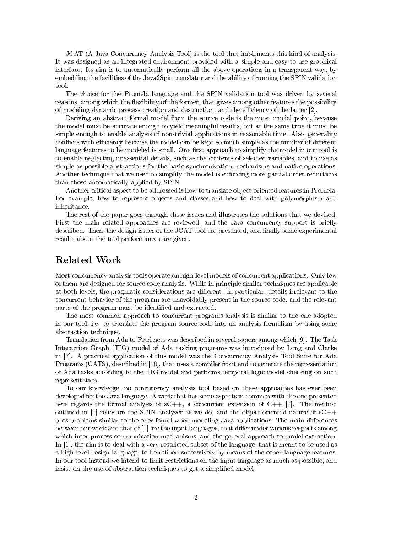JCAT (A Java Concurrency Analysis Tool) is the tool that implements this kind of analysis. It was designed as an integrated environment provided with a simple and easy-to-use graphical interface. Its aim is to automatically perform all the above operations in a transparent way, by embedding the facilities of the Java2Spin translator and the ability of running the SPIN validation  $t$ ool

The choice for the Promela language and the SPIN validation tool was driven by several reasons, among which the flexibility of the former, that gives among other features the possibility of modeling dynamic process creation and destruction, and the efficiency of the latter  $[2]$ .

Deriving an abstract formal model from the source code is the most crucial point, because the model must be accurate enough to yield meaningful results, but at the same time it must be simple enough to enable analysis of non-trivial applications in reasonable time. Also, generality conflicts with efficiency because the model can be kept so much simple as the number of different language features to be modeled is small. One first approach to simplify the model in our tool is to enable neglecting unessential details, such as the contents of selected variables, and to use as simple as possible abstractions for the basic synchronization mechanisms and native operations. Another technique that we used to simplify the model is enforcing more partial order reductions than those automatically applied by SPIN.

Another critical aspect to be addressed is how to translate ob ject-oriented features in Promela. For example, how to represent objects and classes and how to deal with polymorphism and inheritance.

The rest of the paper goes through these issues and illustrates the solutions that we devised. First the main related approaches are reviewed, and the Java concurrency support is briefly described. Then, the design issues of the JCAT tool are presented, and finally some experimental results about the tool performances are given.

## Related Work

Most concurrency analysis tools operate on high-level models of concurrent applications. Only few of them are designed for source code analysis. While in principle similar techniques are applicable at both levels, the pragmatic considerations are different. In particular, details irrelevant to the concurrent behavior of the program are unavoidably present in the source code, and the relevant parts of the program must be identied and extracted.

The most common approach to concurrent programs analysis is similar to the one adopted in our tool, i.e. to translate the program source code into an analysis formalism by using some abstraction technique.

Translation from Ada to Petri nets was described in several papers among which [9]. The Task Interaction Graph (TIG) model of Ada tasking programs was introduced by Long and Clarke in [7]. A practical application of this model was the Concurrency Analysis Tool Suite for Ada Programs (CATS), described in [10], that uses a compiler front end to generate the representation of Ada tasks according to the TIG model and performs temporal logic model checking on such representation.

To our knowledge, no concurrency analysis tool based on these approaches has ever been developed for the Java language. A work that has some aspects in common with the one presented here regards the formal analysis of  $sC++$ , a concurrent extension of  $C++$  [1]. The method outlined in [1] relies on the SPIN analyzer as we do, and the object-oriented nature of  $sC++$ puts problems similar to the ones found when modeling Java applications. The main differences between our work and that of  $[1]$  are the input languages, that differ under various respects among which inter-process communication mechanisms, and the general approach to model extraction. In [1], the aim is to deal with a very restricted subset of the language, that is meant to be used as a high-level design language, to be refined successively by means of the other language features. In our tool instead we intend to limit restrictions on the input language as much as possible, and insist on the use of abstraction techniques to get a simplified model.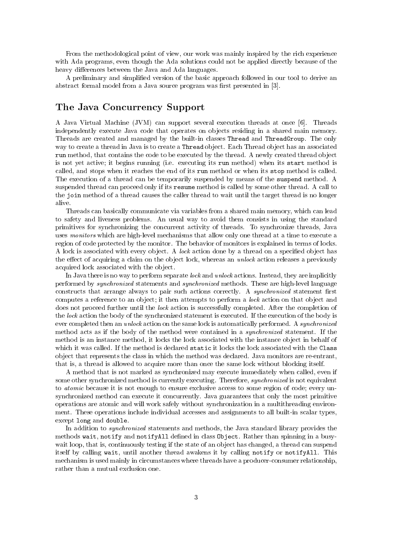From the methodological point of view, our work was mainly inspired by the rich experience with Ada programs, even though the Ada solutions could not be applied directly because of the heavy differences between the Java and Ada languages.

A preliminary and simplied version of the basic approach followed in our tool to derive an abstract formal model from a Java source program was first presented in [3].

## The Java Concurrency Support

A Java Virtual Machine (JVM) can support several execution threads at once [6]. Threads independently execute Java code that operates on objects residing in a shared main memory. Threads are created and managed by the built-in classes Thread and ThreadGroup. The only way to create a thread in Java is to create a Thread object. Each Thread object has an associated run method, that contains the code to be executed by the thread. A newly created thread ob ject is not yet active; it begins running (i.e. executing its run method) when its start method is called, and stops when it reaches the end of its run method or when its stop method is called. The execution of a thread can be temporarily suspended by means of the suspend method. A suspended thread can proceed only if its resume method is called by some other thread. A call to the join method of a thread causes the caller thread to wait until the target thread is no longer

Threads can basically communicate via variables from a shared main memory, which can lead to safety and liveness problems. An usual way to avoid them consists in using the standard primitives for synchronizing the concurrent activity of threads. To synchronize threads, Java uses monitors which are high-level mechanisms that allow only one thread at a time to execute a region of code protected by the monitor. The behavior of monitors is explained in terms of locks. A lock is associated with every object. A lock action done by a thread on a specified object has the effect of acquiring a claim on the object lock, whereas an unlock action releases a previously acquired lock associated with the object.

In Java there is no way to perform separate *lock* and *unlock* actions. Instead, they are implicitly performed by synchronized statements and synchronized methods. These are high-level language constructs that arrange always to pair such actions correctly. A *synchronized* statement first computes a reference to an object; it then attempts to perform a *lock* action on that object and does not proceed further until the lock action is successfully completed. After the completion of the lock action the body of the synchronized statement is executed. If the execution of the body is ever completed then an *unlock* action on the same lock is automatically performed. A *synchronized* method acts as if the body of the method were contained in a synchronized statement. If the method is an instance method, it locks the lock associated with the instance ob ject in behalf of which it was called. If the method is declared static it locks the lock associated with the Class ob ject that represents the class in which the method was declared. Java monitors are re-entrant, that is, a thread is allowed to acquire more than once the same lock without blocking itself.

A method that is not marked as synchronized may execute immediately when called, even if some other synchronized method is currently executing. Therefore, synchronized is not equivalent to *atomic* because it is not enough to ensure exclusive access to some region of code; every unsynchronized method can execute it concurrently. Java guarantees that only the most primitive operations are atomic and will work safely without synchronization in a multithreading environment. These operations include individual accesses and assignments to all built-in scalar types, except long and double.

In addition to synchronized statements and methods, the Java standard library provides the methods wait, notify and notify All defined in class Object. Rather than spinning in a busywait loop, that is, continuously testing if the state of an object has changed, a thread can suspend itself by calling wait, until another thread awakens it by calling notify or notifyAll. This mechanism is used mainly in circumstances where threads have a producer-consumer relationship, rather than a mutual exclusion one.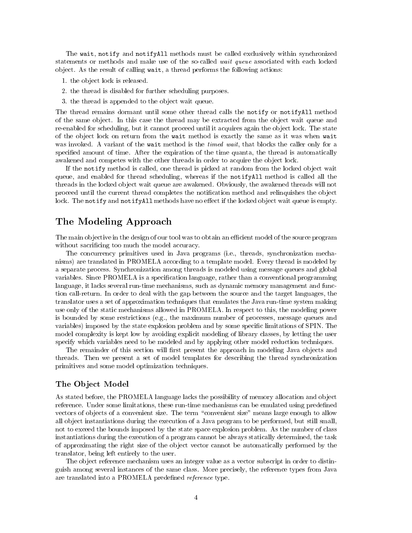The wait, notify and notifyAll methods must be called exclusively within synchronized statements or methods and make use of the so-called wait queue associated with each locked object. As the result of calling wait, a thread performs the following actions:

- 1. the ob ject lock is released.
- 2. the thread is disabled for further scheduling purposes.
- 3. the thread is appended to the ob ject wait queue.

The thread remains dormant until some other thread calls the notify or notifyAll method of the same ob ject. In this case the thread may be extracted from the ob ject wait queue and re-enabled for scheduling, but it cannot proceed until it acquires again the object lock. The state of the object lock on return from the wait method is exactly the same as it was when wait was invoked. A variant of the wait method is the timed wait, that blocks the caller only for a specified amount of time. After the expiration of the time quanta, the thread is automatically awakened and competes with the other threads in order to acquire the object lock.

If the notify method is called, one thread is picked at random from the locked ob ject wait queue, and enabled for thread scheduling, whereas if the notifyAll method is called all the threads in the locked object wait queue are awakened. Obviously, the awakened threads will not proceed until the current thread completes the notification method and relinquishes the object lock. The notify and notifyAll methods have no effect if the locked object wait queue is empty.

## The Modeling Approach

The main objective in the design of our tool was to obtain an efficient model of the source program without sacrificing too much the model accuracy.

The concurrency primitives used in Java programs (i.e., threads, synchronization mechanisms) are translated in PROMELA according to a template model. Every thread is modeled by a separate process. Synchronization among threads is modeled using message queues and global variables. Since PROMELA is a specification language, rather than a conventional programming language, it lacks several run-time mechanisms, such as dynamic memory management and function call-return. In order to deal with the gap between the source and the target languages, the translator uses a set of approximation techniques that emulates the Java run-time system making use only of the static mechanisms allowed in PROMELA. In respect to this, the modeling power is bounded by some restrictions (e.g., the maximum number of processes, message queues and variables) imposed by the state explosion problem and by some specic limitations of SPIN. The model complexity is kept low by avoiding explicit modeling of library classes, by letting the user specify which variables need to be modeled and by applying other model reduction techniques.

The remainder of this section will first present the approach in modeling Java objects and threads. Then we present a set of model templates for describing the thread synchronization primitives and some model optimization techniques.

#### The Ob ject Model

As stated before, the PROMELA language lacks the possibility of memory allocation and object reference. Under some limitations, these run-time mechanisms can be emulated using predefined vectors of objects of a convenient size. The term "convenient size" means large enough to allow all ob ject instantiations during the execution of a Java program to be performed, but still small, not to exceed the bounds imposed by the state space explosion problem. As the number of class instantiations during the execution of a program cannot be always statically determined, the task of approximating the right size of the ob ject vector cannot be automatically performed by the translator, being left entirely to the user.

The object reference mechanism uses an integer value as a vector subscript in order to distinguish among several instances of the same class. More precisely, the reference types from Java are translated into a PROMELA predefined *reference* type.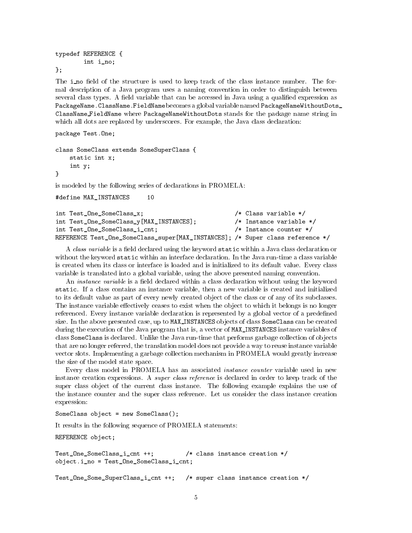```
typedef REFERENCE {
        int i_no;
};
```
The i no field of the structure is used to keep track of the class instance number. The formal description of a Java program uses a naming convention in order to distinguish between several class types. A field variable that can be accessed in Java using a qualified expression as PackageName. ClassName. FieldName becomes a global variable named PackageNameWithoutDots\_ ClassName FieldName where PackageNameWithoutDots stands for the package name string in which all dots are replaced by underscores. For example, the Java class declaration:

```
package Test.One;
```

```
class SomeClass extends SomeSuperClass {
   static int x;
   int y;
}
```
is modeled by the following series of declarations in PROMELA:

```
#define MAX_INSTANCES
                           10
```

| int Test_One_SomeClass_x;                                                      | $/*$ Class variable $*/$   |
|--------------------------------------------------------------------------------|----------------------------|
| int Test_One_SomeClass_y[MAX_INSTANCES];                                       | /* Instance variable */    |
| int Test_One_SomeClass_i_cnt;                                                  | $/*$ Instance counter $*/$ |
| REFERENCE Test_One_SomeClass_super[MAX_INSTANCES]; /* Super class reference */ |                            |

A class variable is a field declared using the keyword static within a Java class declaration or without the keyword static within an interface declaration. In the Java run-time a class variable is created when its class or interface is loaded and is initialized to its default value. Every class variable is translated into a global variable, using the above presented naming convention.

An *instance variable* is a field declared within a class declaration without using the keyword static. If a class contains an instance variable, then a new variable is created and initialized to its default value as part of every newly created object of the class or of any of its subclasses. The instance variable effectively ceases to exist when the object to which it belongs is no longer referenced. Every instance variable declaration is represented by a global vector of a predefined size. In the above presented case, up to MAX INSTANCES ob jects of class SomeClass can be created during the execution of the Java program that is, a vector of MAX\_INSTANCES instance variables of class SomeClass is declared. Unlike the Java run-time that performs garbage collection of ob jects that are no longer referred, the translation model does not provide a way to reuse instance variable vector slots. Implementing a garbage collection mechanism in PROMELA would greatly increase the size of the model state space.

Every class model in PROMELA has an associated instance counter variable used in new instance creation expressions. A *super class reference* is declared in order to keep track of the super class ob ject of the current class instance. The following example explains the use of the instance counter and the super class reference. Let us consider the class instance creation expression:

SomeClass object = new SomeClass();

It results in the following sequence of PROMELA statements:

REFERENCE object;

```
Test_One_SomeClass_i_cnt ++; /* class instance creation */
object.i_no = Test_One_SomeClass_i_cnt;
```
Test\_One\_Some\_SuperClass\_i\_cnt ++; /\* super class instance creation \*/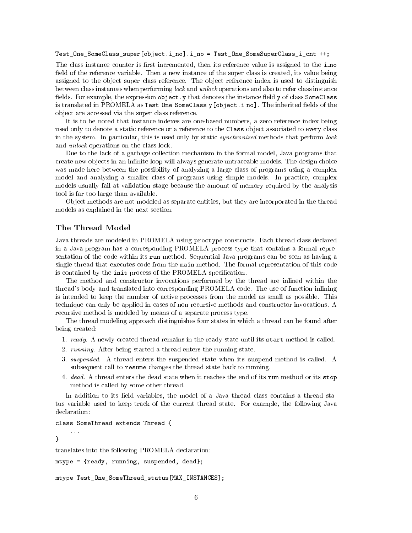Test\_One\_SomeClass\_super[object.i\_no].i\_no = Test\_One\_SomeSuperClass\_i\_cnt ++;

The class instance counter is first incremented, then its reference value is assigned to the increment field of the reference variable. Then a new instance of the super class is created, its value being assigned to the object super class reference. The object reference index is used to distinguish between class instances when performing lock and unlock operations and also to refer class instance fields. For example, the expression  $object.y$  that denotes the instance field y of class SomeClass is translated in PROMELA as Test One SomeClass\_y[object.i\_no]. The inherited fields of the ob ject are accessed via the super class reference.

It is to be noted that instance indexes are one-based numbers, a zero reference index being used only to denote a static reference or a reference to the Class ob ject associated to every class in the system. In particular, this is used only by static *synchronized* methods that perform lock and unlock operations on the class lock.

Due to the lack of a garbage collection mechanism in the formal model, Java programs that create new objects in an infinite loop will always generate untraceable models. The design choice was made here between the possibility of analyzing a large class of programs using a complex model and analyzing a smaller class of programs using simple models. In practice, complex models usually fail at validation stage because the amount of memory required by the analysis tool is far too large than available.

Ob ject methods are not modeled as separate entities, but they are incorporated in the thread models as explained in the next section.

Java threads are modeled in PROMELA using proctype constructs. Each thread class declared in a Java program has a corresponding PROMELA process type that contains a formal representation of the code within its run method. Sequential Java programs can be seen as having a single thread that executes code from the main method. The formal representation of this code is contained by the init process of the PROMELA specification.

The method and constructor invocations performed by the thread are inlined within the thread's body and translated into corresponding PROMELA code. The use of function inlining is intended to keep the number of active processes from the model as small as possible. This technique can only be applied in cases of non-recursive methods and constructor invocations. A recursive method is modeled by means of a separate process type.

The thread modeling approach distinguishes four states in which a thread can be found after being created:

- 1. ready. A newly created thread remains in the ready state until its start method is called.
- 2. *running*. After being started a thread enters the running state.
- 3. suspended. A thread enters the suspended state when its suspend method is called. A subsequent call to resume changes the thread state back to running.
- 4. dead. A thread enters the dead state when it reaches the end of its run method or its stop method is called by some other thread.

In addition to its field variables, the model of a Java thread class contains a thread status variable used to keep track of the current thread state. For example, the following Java declaration:

class SomeThread extends Thread {

 $\mathcal{F}$ }

translates into the following PROMELA declaration:

mtype = {ready, running, suspended, dead};

mtype Test\_One\_SomeThread\_status[MAX\_INSTANCES];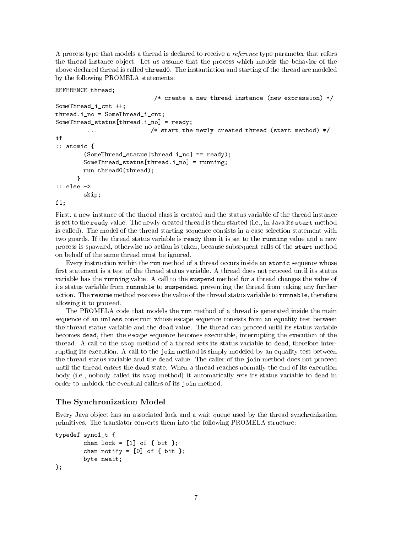A process type that models a thread is declared to receive a reference type parameter that refers the thread instance ob ject. Let us assume that the process which models the behavior of the above declared thread is called thread0. The instantiation and starting of the thread are modeled by the following PROMELA statements:

REFERENCE thread;

```
/* create a new thread instance (new expression) */
SomeThread i cnt ++;
thread.i_no = SomeThread_i_cnt;
SomeThread_status[thread.i_no] = ready;
                           /* start the newly created thread (start method) */\mathbb{R}^2if
: atomic \{\blacksquare(SomeThread\_status[thread.i.no] == ready);SomeThread_status[thread.i_no] = running;
        run thread0(thread);
      ጉ
      }
:: else ->
        skip;
fi;
```
First, a new instance of the thread class is created and the status variable of the thread instance is set to the ready value. The newly created thread is then started (i.e., in Java its start method is called). The model of the thread starting sequence consists in a case selection statement with two guards. If the thread status variable is ready then it is set to the running value and a new process is spawned, otherwise no action is taken, because subsequent calls of the start method on behalf of the same thread must be ignored.

Every instruction within the run method of a thread occurs inside an atomic sequence whose first statement is a test of the thread status variable. A thread does not proceed until its status variable has the running value. A call to the suspend method for a thread changes the value of its status variable from runnable to suspended, preventing the thread from taking any further action. The resume method restores the value of the thread status variable to runnable, therefore allowing it to proceed.

The PROMELA code that models the run method of a thread is generated inside the main sequence of an unless construct whose escape sequence consists from an equality test between the thread status variable and the dead value. The thread can proceed until its status variable becomes dead, then the escape sequence becomes executable, interrupting the execution of the thread. A call to the stop method of a thread sets its status variable to dead, therefore interrupting its execution. A call to the join method is simply modeled by an equality test between the thread status variable and the dead value. The caller of the join method does not proceed until the thread enters the dead state. When a thread reaches normally the end of its execution body (i.e., nobody called its stop method) it automatically sets its status variable to dead in order to unblock the eventual callers of its join method.

#### The Synchronization Model and Synchronization of the Synchronization of the Synchronization of the Synchroniza

Every Java object has an associated lock and a wait queue used by the thread synchronization primitives. The translator converts them into the following PROMELA structure:

```
typedef sync1_t {
        chan lock = [1] of \{ bit \};chan notify = [0] of { bit };
        byte nwait;
};
```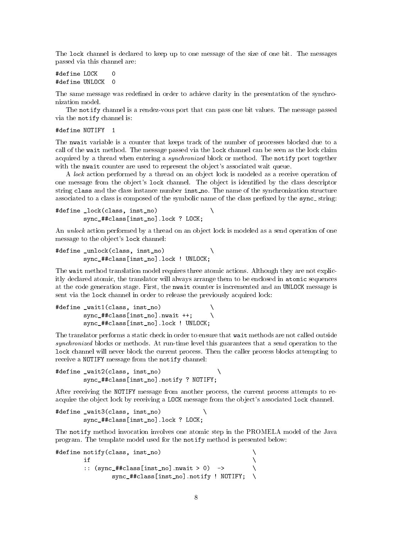The lock channel is declared to keep up to one message of the size of one bit. The messages passed via this channel are:

#define LOCK  $\Omega$ #define UNLOCK 0

The same message was redefined in order to achieve clarity in the presentation of the synchronization model.

The notify channel is a rendez-vous port that can pass one bit values. The message passed via the notify channel is:

#define NOTIFY 1

The nwait variable is a counter that keeps track of the number of processes blocked due to a call of the wait method. The message passed via the lock channel can be seen as the lock claim acquired by a thread when entering a *synchronized* block or method. The notify port together with the nwait counter are used to represent the object's associated wait queue.

A lock action performed by a thread on an object lock is modeled as a receive operation of one message from the object's lock channel. The object is identified by the class descriptor string class and the class instance number inst no. The name of the synchronization structure associated to a class is composed of the symbolic name of the class prefixed by the sync\_string:

```
#define _lock(class, inst_no) \
        sync_##class[inst_no].lock ? LOCK;
```
An *unlock* action performed by a thread on an object lock is modeled as a send operation of one message to the ob ject's lock channel:

```
#define _unlock(class, inst_no) \
                                              X
        sync_##class[inst_no].lock ! UNLOCK;
```
The wait method translation model requires three atomic actions. Although they are not explicitly declared atomic, the translator will always arrange them to be enclosed in atomic sequences at the code generation stage. First, the nwait counter is incremented and an UNLOCK message is sent via the lock channel in order to release the previously acquired lock:

```
#define _wait1(class, inst_no) \
        sync_##class[inst_no].nwait ++;
        sync_##class[inst_no].lock ! UNLOCK;
```
The translator performs a static check in order to ensure that wait methods are not called outside synchronized blocks or methods. At run-time level this guarantees that a send operation to the lock channel will never block the current process. Then the caller process blocks attempting to receive a NOTIFY message from the notify channel:

```
#define wait2(class, inst no)
                                                  \lambdasync_##class[inst_no].notify ? NOTIFY;
```
After receiving the NOTIFY message from another process, the current process attempts to reacquire the object lock by receiving a LOCK message from the object's associated lock channel.

```
#define _wait3(class, inst_no) \
        sync_##class[inst_no].lock ? LOCK;
```
The notify method invocation involves one atomic step in the PROMELA model of the Java program. The template model used for the notify method is presented below:

```
#define notify(class, inst_no) \
              if
              if the contract of the contract of the contract of the contract of the contract of the contract of the contract of the contract of the contract of the contract of the contract of the contract of the contract of the contra
              :: (sync_##class[inst_no].nwait > 0) -> \
                                                                                                   Λ
                            sync_##class[inst_no].notify ! NOTIFY; \
                                                                                                   \lambda
```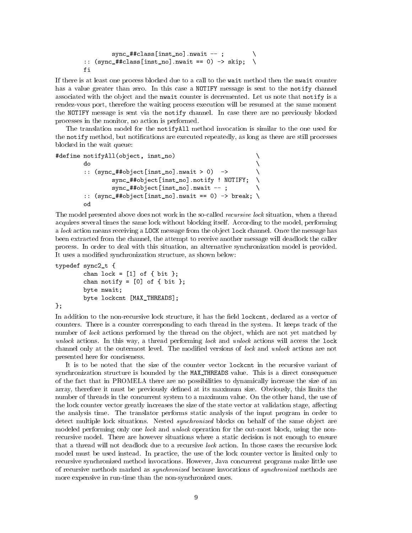```
sync_##class[inst_no].nwait --;
:: (sync_#tclass[inst_to] .nwait == 0) \rightarrow skip;f_i
```
If there is at least one process blocked due to a call to the wait method then the nwait counter has a value greater than zero. In this case a NOTIFY message is sent to the notify channel associated with the object and the nwait counter is decremented. Let us note that notify is a rendez-vous port, therefore the waiting process execution will be resumed at the same moment the NOTIFY message is sent via the notify channel. In case there are no previously blocked processes in the monitor, no action is performed.

The translation model for the notifyAll method invocation is similar to the one used for the notify method, but notifications are executed repeatedly, as long as there are still processes blocked in the wait queue:

```
#define notifyAll(object, inst_no) \
          do
           do a construction of the construction of the construction of the construction of the construction of the constr
           \therefore (sync_##object[inst_no].nwait > 0) ->
                     sync_##object[inst_no].notify ! NOTIFY; \
                     sync_##object[inst_no].nwait --;
           :: (sync_ # \# object[inst_no] .nwait == 0) \rightarrow break; \ \ \ \ \
```
The model presented above does not work in the so-called recursive lock situation, when a thread acquires several times the same lock without blocking itself. According to the model, performing a *lock* action means receiving a LOCK message from the object lock channel. Once the message has been extracted from the channel, the attempt to receive another message will deadlock the caller process. In order to deal with this situation, an alternative synchronization model is provided. It uses a modied synchronization structure, as shown below:

```
typedef sync2_t {
        chan lock = [1] of { bit };
        chan notify = [0] of { bit };
        byte nwait;
        byte lockcnt [MAX_THREADS];
```
};

In addition to the non-recursive lock structure, it has the field lockcnt, declared as a vector of counters. There is a counter corresponding to each thread in the system. It keeps track of the number of lock actions performed by the thread on the object, which are not yet matched by unlock actions. In this way, a thread performing lock and unlock actions will access the lock channel only at the outermost level. The modified versions of lock and unlock actions are not presented here for conciseness.

It is to be noted that the size of the counter vector lockcnt in the recursive variant of synchronization structure is bounded by the MAX THREADS value. This is a direct consequence of the fact that in PROMELA there are no possibilities to dynamically increase the size of an array, therefore it must be previously dened at its maximum size. Obviously, this limits the number of threads in the concurrent system to a maximum value. On the other hand, the use of the lock counter vector greatly increases the size of the state vector at validation stage, affecting the analysis time. The translator performs static analysis of the input program in order to detect multiple lock situations. Nested *synchronized* blocks on behalf of the same object are modeled performing only one *lock* and *unlock* operation for the out-most block, using the nonrecursive model. There are however situations where a static decision is not enough to ensure that a thread will not deadlock due to a recursive lock action. In those cases the recursive lock model must be used instead. In practice, the use of the lock counter vector is limited only to recursive synchronized method invocations. However, Java concurrent programs make little use of recursive methods marked as synchronized because invocations of synchronized methods are more expensive in run-time than the non-synchronized ones.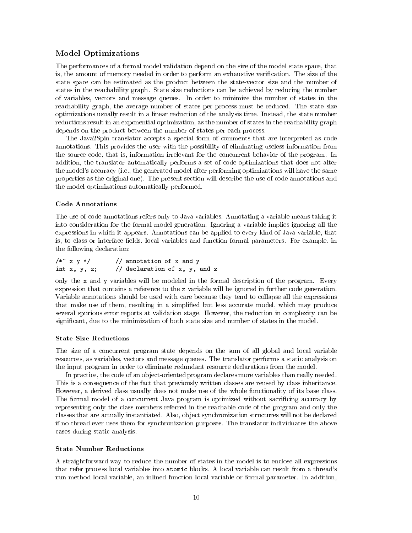#### Model Optimizations

The performances of a formal model validation depend on the size of the model state space, that is, the amount of memory needed in order to perform an exhaustive verification. The size of the state space can be estimated as the product between the state-vector size and the number of states in the reachability graph. State size reductions can be achieved by reducing the number of variables, vectors and message queues. In order to minimize the number of states in the reachability graph, the average number of states per process must be reduced. The state size optimizations usually result in a linear reduction of the analysis time. Instead, the state number reductions result in an exponential optimization, as the number of states in the reachability graph depends on the product between the number of states per each process.

The Java2Spin translator accepts a special form of comments that are interpreted as code annotations. This provides the user with the possibility of eliminating useless information from the source code, that is, information irrelevant for the concurrent behavior of the program. In addition, the translator automatically performs a set of code optimizations that does not alter the model's accuracy (i.e., the generated model after performing optimizations will have the same properties as the original one). The present section will describe the use of code annotations and the model optimizations automatically performed.

#### Code Annotations

The use of code annotations refers only to Java variables. Annotating a variable means taking it into consideration for the formal model generation. Ignoring a variable implies ignoring all the expressions in which it appears. Annotations can be applied to every kind of Java variable, that is, to class or interface fields, local variables and function formal parameters. For example, in the following declaration:

| $/*^{\sim}$ x y */ | // annotation of x and y      |
|--------------------|-------------------------------|
| int $x, y, z;$     | // declaration of x, y, and z |

only the x and y variables will be modeled in the formal description of the program. Every expression that contains a reference to the z variable will be ignored in further code generation. Variable annotations should be used with care because they tend to collapse all the expressions that make use of them, resulting in a simplied but less accurate model, which may produce several spurious error reports at validation stage. However, the reduction in complexity can be signicant, due to the minimization of both state size and number of states in the model.

#### State Size Reductions

The size of a concurrent program state depends on the sum of all global and local variable resources, as variables, vectors and message queues. The translator performs a static analysis on the input program in order to eliminate redundant resource declarations from the model.

In practice, the code of an object-oriented program declares more variables than really needed. This is a consequence of the fact that previously written classes are reused by class inheritance. However, a derived class usually does not make use of the whole functionality of its base class. The formal model of a concurrent Java program is optimized without sacrificing accuracy by representing only the class members referred in the reachable code of the program and only the classes that are actually instantiated. Also, ob ject synchronization structures will not be declared if no thread ever uses them for synchronization purposes. The translator individuates the above cases during static analysis.

#### State Number Reductions

A straightforward way to reduce the number of states in the model is to enclose all expressions that refer process local variables into atomic blocks. A local variable can result from a thread's run method local variable, an inlined function local variable or formal parameter. In addition,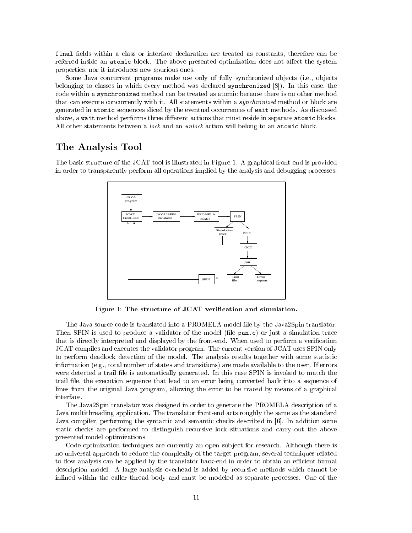final fields within a class or interface declaration are treated as constants, therefore can be referred inside an atomic block. The above presented optimization does not affect the system properties, nor it introduces new spurious ones.

Some Java concurrent programs make use only of fully synchronized objects (i.e., objects belonging to classes in which every method was declared synchronized [8]). In this case, the code within a synchronized method can be treated as atomic because there is no other method that can execute concurrently with it. All statements within a *synchronized* method or block are generated in atomic sequences sliced by the eventual occurrences of wait methods. As discussed above, a wait method performs three different actions that must reside in separate atomic blocks. All other statements between a *lock* and an *unlock* action will belong to an atomic block.

## The Analysis Tool

The basic structure of the JCAT tool is illustrated in Figure 1. A graphical front-end is provided in order to transparently perform all operations implied by the analysis and debugging processes.



Figure 1: The structure of JCAT verification and simulation.

The Java source code is translated into a PROMELA model file by the Java2Spin translator. Then SPIN is used to produce a validator of the model (file  $pan.c$ ) or just a simulation trace that is directly interpreted and displayed by the front-end. When used to perform a verification JCAT compiles and executes the validator program. The current version of JCAT uses SPIN only to perform deadlock detection of the model. The analysis results together with some statistic information (e.g., total number of states and transitions) are made available to the user. If errors were detected a trail file is automatically generated. In this case SPIN is invoked to match the trail file, the execution sequence that lead to an error being converted back into a sequence of lines from the original Java program, allowing the error to be traced by means of a graphical interface.

The Java2Spin translator was designed in order to generate the PROMELA description of a Java multithreading application. The translator front-end acts roughly the same as the standard Java compiler, performing the syntactic and semantic checks described in [6]. In addition some static checks are performed to distinguish recursive lock situations and carry out the above presented model optimizations.

Code optimization techniques are currently an open subject for research. Although there is no universal approach to reduce the complexity of the target program, several techniques related to flow analysis can be applied by the translator back-end in order to obtain an efficient formal description model. A large analysis overhead is added by recursive methods which cannot be inlined within the caller thread body and must be modeled as separate processes. One of the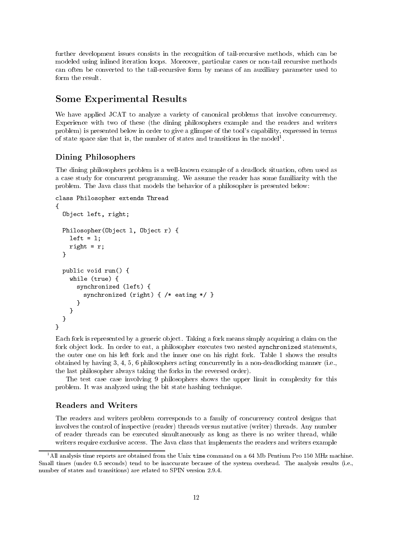further development issues consists in the recognition of tail-recursive methods, which can be modeled using inlined iteration loops. Moreover, particular cases or non-tail recursive methods can often be converted to the tail-recursive form by means of an auxiliary parameter used to form the result.

## Some Experimental Results

We have applied JCAT to analyze a variety of canonical problems that involve concurrency. Experience with two of these (the dining philosophers example and the readers and writers problem) is presented below in order to give a glimpse of the tool's capability, expressed in terms of state space size that is, the number of states and transitions in the model<sup>1</sup>.

### Dining Philosophers

The dining philosophers problem is a well-known example of a deadlock situation, often used as a case study for concurrent programming. We assume the reader has some familiarity with the problem. The Java class that models the behavior of a philosopher is presented below:

```
class Philosopher extends Thread
{\color{red} \bullet} . The contract of the contract of the contract of the contract of the contract of the contract of the contract of the contract of the contract of the contract of the contract of the contract of the contract of 
   Object left, right;
   Philosopher(Object l, Object r) {
       left = 1;
       right = r;\mathcal{L}}
   public void run() {
       while (true) {
           synchronized (left) {
                synchronized (right) { /* eating */ }
           \mathcal{F}}
        }
   }
```
Each fork is represented by a generic object. Taking a fork means simply acquiring a claim on the fork object lock. In order to eat, a philosopher executes two nested synchronized statements, the outer one on his left fork and the inner one on his right fork. Table 1 shows the results obtained by having 3, 4, 5, 6 philosophers acting concurrently in a non-deadlocking manner (i.e., the last philosopher always taking the forks in the reversed order).

The test case case involving 9 philosophers shows the upper limit in complexity for this problem. It was analyzed using the bit state hashing technique.

#### Readers and Writers

}

The readers and writers problem corresponds to a family of concurrency control designs that involves the control of inspective (reader) threads versus mutative (writer) threads. Any number of reader threads can be executed simultaneously as long as there is no writer thread, while writers require exclusive access. The Java class that implements the readers and writers example

<sup>&</sup>lt;sup>1</sup>All analysis time reports are obtained from the Unix time command on a 64 Mb Pentium Pro 150 MHz machine. Small times (under 0.5 seconds) tend to be inaccurate because of the system overhead. The analysis results (i.e., number of states and transitions) are related to SPIN version 2.9.4.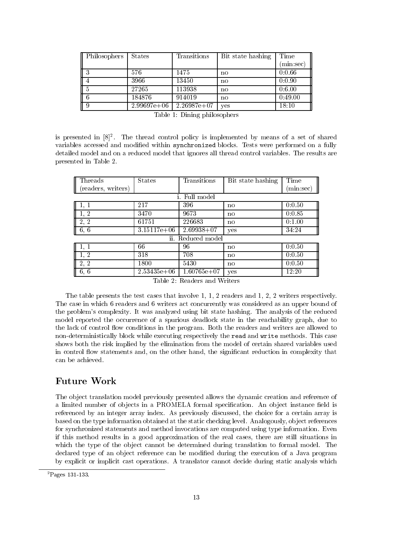| Philosophers | <b>States</b> | Transitions   | Bit state hashing | Time                 |
|--------------|---------------|---------------|-------------------|----------------------|
|              |               |               |                   | $(\mathrm{min:sec})$ |
|              | 576           | 1475          | no                | 0:0.66               |
|              | 3966          | 13450         | no                | 0:0.90               |
|              | 27265         | 113938        | no                | 0.6.00               |
| $\sqrt{6}$   | 184876        | 914019        | no                | 0:49.00              |
|              | $2.99697e+06$ | $2.26987e+07$ | yes               | 18:10                |

|  |  | Table 1: Dining philosophers |  |
|--|--|------------------------------|--|
|--|--|------------------------------|--|

is presented in  $|\delta|^2$ . The thread control policy is implemented by means of a set of shared  $\,$ variables accessed and modied within synchronized blocks. Tests were performed on a fully detailed model and on a reduced model that ignores all thread control variables. The results are presented in Table 2.

| Threads              | <b>States</b> | Transitions    | Bit state hashing | Time      |  |
|----------------------|---------------|----------------|-------------------|-----------|--|
| (readers, writers)   |               |                |                   | (min:sec) |  |
|                      |               | Full model     |                   |           |  |
|                      | 217           | 396            | no                | 0:0.50    |  |
| 1, 2                 | 3470          | 9673           | no                | 0.0.85    |  |
| 2, 2                 | 61751         | 226683         | no.               | 0:1.00    |  |
| $\vert 6, 6 \vert$   | $3.15117e+06$ | $2.69938 + 07$ | yes               | 34.24     |  |
| ii.<br>Reduced model |               |                |                   |           |  |
|                      | 66            | 96             | no                | 0:0.50    |  |
| 1, 2                 | 318           | 708            | no                | 0:0.50    |  |
| 2, 2                 | 1800          | 5430           | no.               | 0:0.50    |  |
| $\parallel$ 6, 6     | $2.53435e+06$ | $1.60765e+07$  | yes               | 12:20     |  |

Table 2: Readers and Writers

The table presents the test cases that involve 1, 1, 2 readers and 1, 2, 2 writers respectively. The case in which 6 readers and 6 writers act concurrently was considered as an upper bound of the problem's complexity. It was analyzed using bit state hashing. The analysis of the reduced model reported the occurrence of a spurious deadlock state in the reachability graph, due to the lack of control flow conditions in the program. Both the readers and writers are allowed to non-deterministically block while executing respectively the read and write methods. This case shows both the risk implied by the elimination from the model of certain shared variables used in control flow statements and, on the other hand, the significant reduction in complexity that can be achieved.

## Future Work

The object translation model previously presented allows the dynamic creation and reference of a limited number of objects in a PROMELA formal specification. An object instance field is referenced by an integer array index. As previously discussed, the choice for a certain array is based on the type information obtained at the static checking level. Analogously, ob ject references for synchronized statements and method invocations are computed using type information. Even if this method results in a good approximation of the real cases, there are still situations in which the type of the object cannot be determined during translation to formal model. The declared type of an object reference can be modified during the execution of a Java program by explicit or implicit cast operations. A translator cannot decide during static analysis which

 ${}^{2}$ Pages 131-133.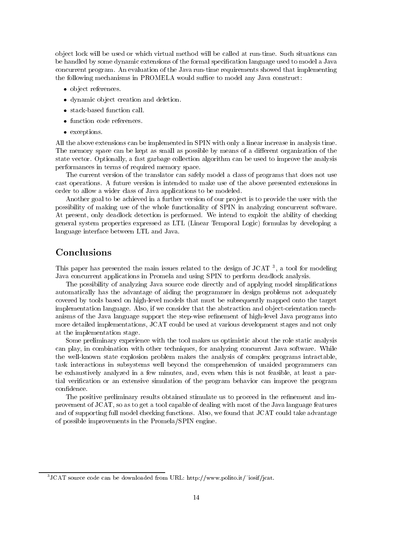ob ject lock will be used or which virtual method will be called at run-time. Such situations can be handled by some dynamic extensions of the formal specification language used to model a Java concurrent program. An evaluation of the Java run-time requirements showed that implementing the following mechanisms in PROMELA would suffice to model any Java construct:

- ob ject references.
- dynamic ob ject creation and deletion.
- stack-based function call.
- function code references.
- except is a second contract of the second contract of the second contract of the second contract of the second contract of the second contract of the second contract of the second contract of the second contract of the sec

All the above extensions can be implemented in SPIN with only a linear increase in analysis time. The memory space can be kept as small as possible by means of a different organization of the state vector. Optionally, a fast garbage collection algorithm can be used to improve the analysis performances in terms of required memory space.

The current version of the translator can safely model a class of programs that does not use cast operations. A future version is intended to make use of the above presented extensions in order to allow a wider class of Java applications to be modeled.

Another goal to be achieved in a further version of our project is to provide the user with the possibility of making use of the whole functionality of SPIN in analyzing concurrent software. At present, only deadlock detection is performed. We intend to exploit the ability of checking general system properties expressed as LTL (Linear Temporal Logic) formulas by developing a language interface between LTL and Java.

## **Conclusions**

I ms paper has presented the main issues related to the design of JCAT  $\,$  , a tool for modeling Java concurrent applications in Promela and using SPIN to perform deadlock analysis.

The possibility of analyzing Java source code directly and of applying model simplications automatically has the advantage of aiding the programmer in design problems not adequately covered by tools based on high-level models that must be subsequently mapped onto the target implementation language. Also, if we consider that the abstraction and object-orientation mechanisms of the Java language support the step-wise refinement of high-level Java programs into more detailed implementations, JCAT could be used at various development stages and not only at the implementation stage.

Some preliminary experience with the tool makes us optimistic about the role static analysis can play, in combination with other techniques, for analyzing concurrent Java software. While the well-known state explosion problem makesthe analysis of complex programs intractable, task interactions in subsystems well beyond the comprehension of unaided programmers can be exhaustively analyzed in a few minutes, and, even when this is not feasible, at least a partial verification or an extensive simulation of the program behavior can improve the program confidence.

The positive preliminary results obtained stimulate us to proceed in the refinement and improvement of JCAT, so as to get a tool capable of dealing with most of the Java language features and of supporting full model checking functions. Also, we found that JCAT could take advantage of possible improvements in the Promela/SPIN engine.

<sup>&</sup>lt;sup>3</sup>JCAT source code can be downloaded from URL: http://www.polito.it/~iosif/jcat.